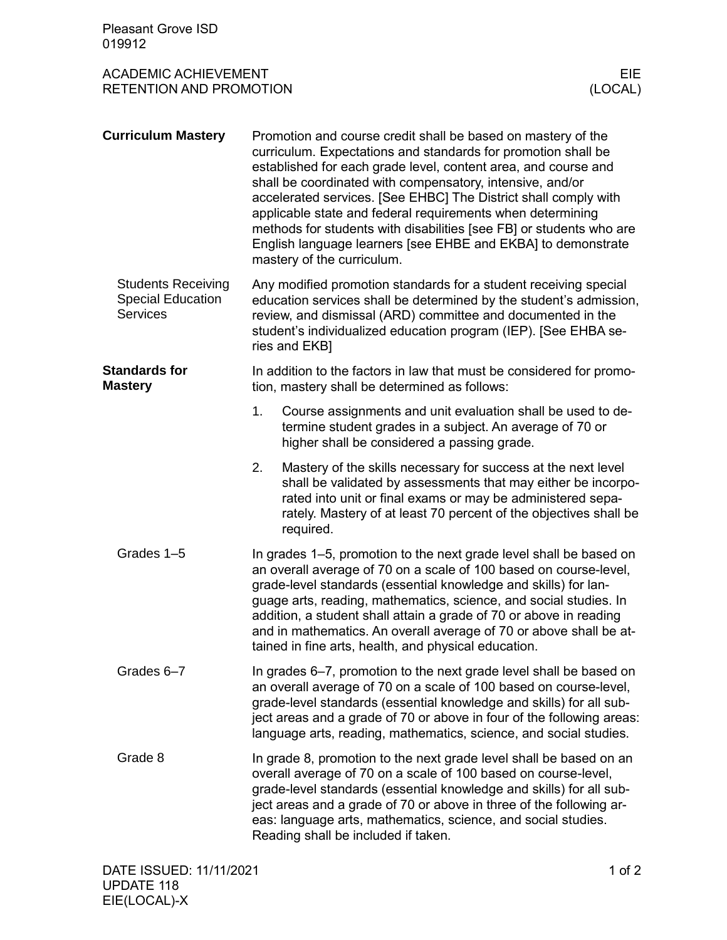| <b>Pleasant Grove ISD</b><br>019912                                      |                                                                                                                                                                                                                                                                                                                                                                                                                                                                                     |                                                                                                                                                                                                                                                                                                                                                                                                                                                                                                                                      |                |
|--------------------------------------------------------------------------|-------------------------------------------------------------------------------------------------------------------------------------------------------------------------------------------------------------------------------------------------------------------------------------------------------------------------------------------------------------------------------------------------------------------------------------------------------------------------------------|--------------------------------------------------------------------------------------------------------------------------------------------------------------------------------------------------------------------------------------------------------------------------------------------------------------------------------------------------------------------------------------------------------------------------------------------------------------------------------------------------------------------------------------|----------------|
| <b>ACADEMIC ACHIEVEMENT</b><br><b>RETENTION AND PROMOTION</b>            |                                                                                                                                                                                                                                                                                                                                                                                                                                                                                     |                                                                                                                                                                                                                                                                                                                                                                                                                                                                                                                                      | EIE<br>(LOCAL) |
| <b>Curriculum Mastery</b>                                                | mastery of the curriculum.                                                                                                                                                                                                                                                                                                                                                                                                                                                          | Promotion and course credit shall be based on mastery of the<br>curriculum. Expectations and standards for promotion shall be<br>established for each grade level, content area, and course and<br>shall be coordinated with compensatory, intensive, and/or<br>accelerated services. [See EHBC] The District shall comply with<br>applicable state and federal requirements when determining<br>methods for students with disabilities [see FB] or students who are<br>English language learners [see EHBE and EKBA] to demonstrate |                |
| <b>Students Receiving</b><br><b>Special Education</b><br><b>Services</b> | Any modified promotion standards for a student receiving special<br>education services shall be determined by the student's admission,<br>review, and dismissal (ARD) committee and documented in the<br>student's individualized education program (IEP). [See EHBA se-<br>ries and EKB1                                                                                                                                                                                           |                                                                                                                                                                                                                                                                                                                                                                                                                                                                                                                                      |                |
| <b>Standards for</b><br><b>Mastery</b>                                   |                                                                                                                                                                                                                                                                                                                                                                                                                                                                                     | In addition to the factors in law that must be considered for promo-<br>tion, mastery shall be determined as follows:                                                                                                                                                                                                                                                                                                                                                                                                                |                |
|                                                                          | 1.                                                                                                                                                                                                                                                                                                                                                                                                                                                                                  | Course assignments and unit evaluation shall be used to de-<br>termine student grades in a subject. An average of 70 or<br>higher shall be considered a passing grade.                                                                                                                                                                                                                                                                                                                                                               |                |
|                                                                          | 2.<br>required.                                                                                                                                                                                                                                                                                                                                                                                                                                                                     | Mastery of the skills necessary for success at the next level<br>shall be validated by assessments that may either be incorpo-<br>rated into unit or final exams or may be administered sepa-<br>rately. Mastery of at least 70 percent of the objectives shall be                                                                                                                                                                                                                                                                   |                |
| Grades 1-5                                                               | In grades 1–5, promotion to the next grade level shall be based on<br>an overall average of 70 on a scale of 100 based on course-level,<br>grade-level standards (essential knowledge and skills) for lan-<br>guage arts, reading, mathematics, science, and social studies. In<br>addition, a student shall attain a grade of 70 or above in reading<br>and in mathematics. An overall average of 70 or above shall be at-<br>tained in fine arts, health, and physical education. |                                                                                                                                                                                                                                                                                                                                                                                                                                                                                                                                      |                |
| Grades 6-7                                                               | In grades 6-7, promotion to the next grade level shall be based on<br>an overall average of 70 on a scale of 100 based on course-level,<br>grade-level standards (essential knowledge and skills) for all sub-<br>ject areas and a grade of 70 or above in four of the following areas:<br>language arts, reading, mathematics, science, and social studies.                                                                                                                        |                                                                                                                                                                                                                                                                                                                                                                                                                                                                                                                                      |                |
| Grade 8                                                                  | In grade 8, promotion to the next grade level shall be based on an<br>overall average of 70 on a scale of 100 based on course-level,<br>grade-level standards (essential knowledge and skills) for all sub-<br>ject areas and a grade of 70 or above in three of the following ar-<br>eas: language arts, mathematics, science, and social studies.<br>Reading shall be included if taken.                                                                                          |                                                                                                                                                                                                                                                                                                                                                                                                                                                                                                                                      |                |